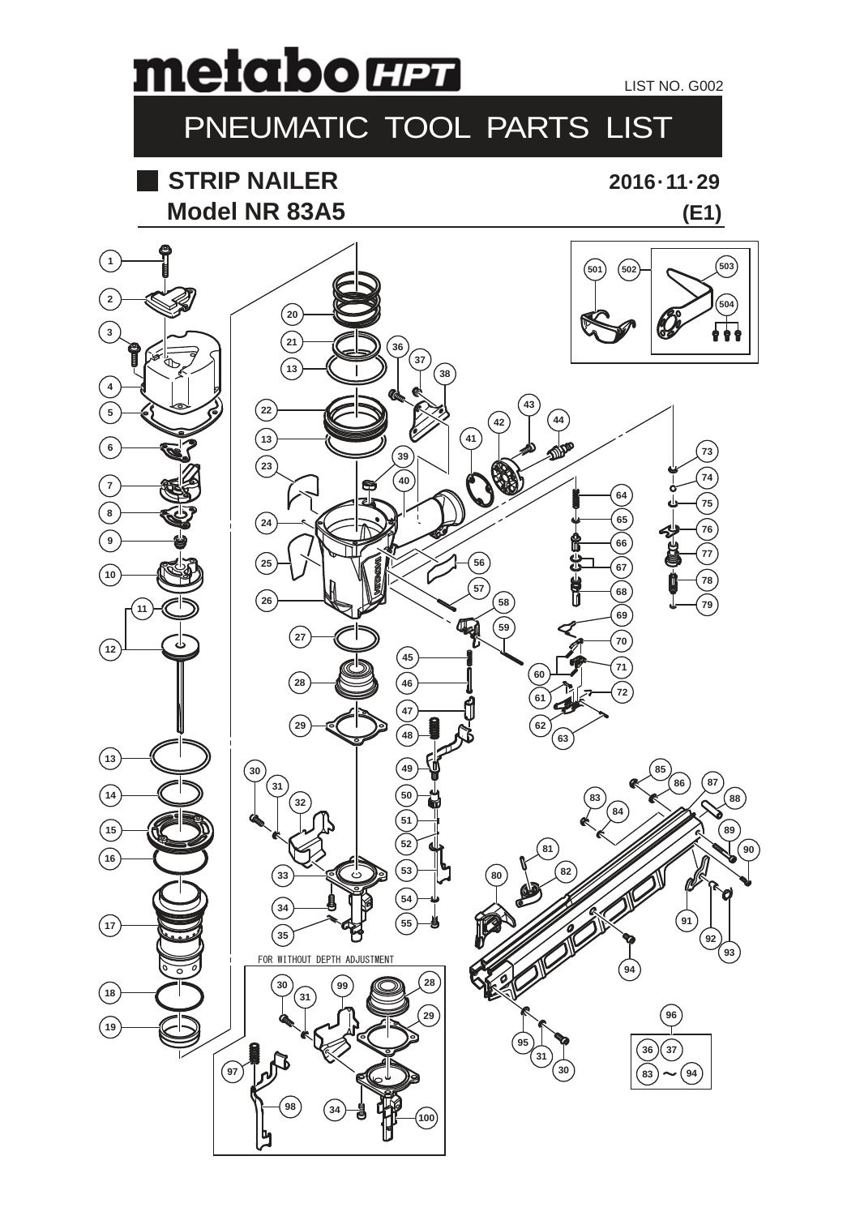## metabo H27

LIST NO. G002

## PNEUMATIC TOOL PARTS LIST

**Model NR 83A5 STRIP NAILER**

**2016 · 11· 29**

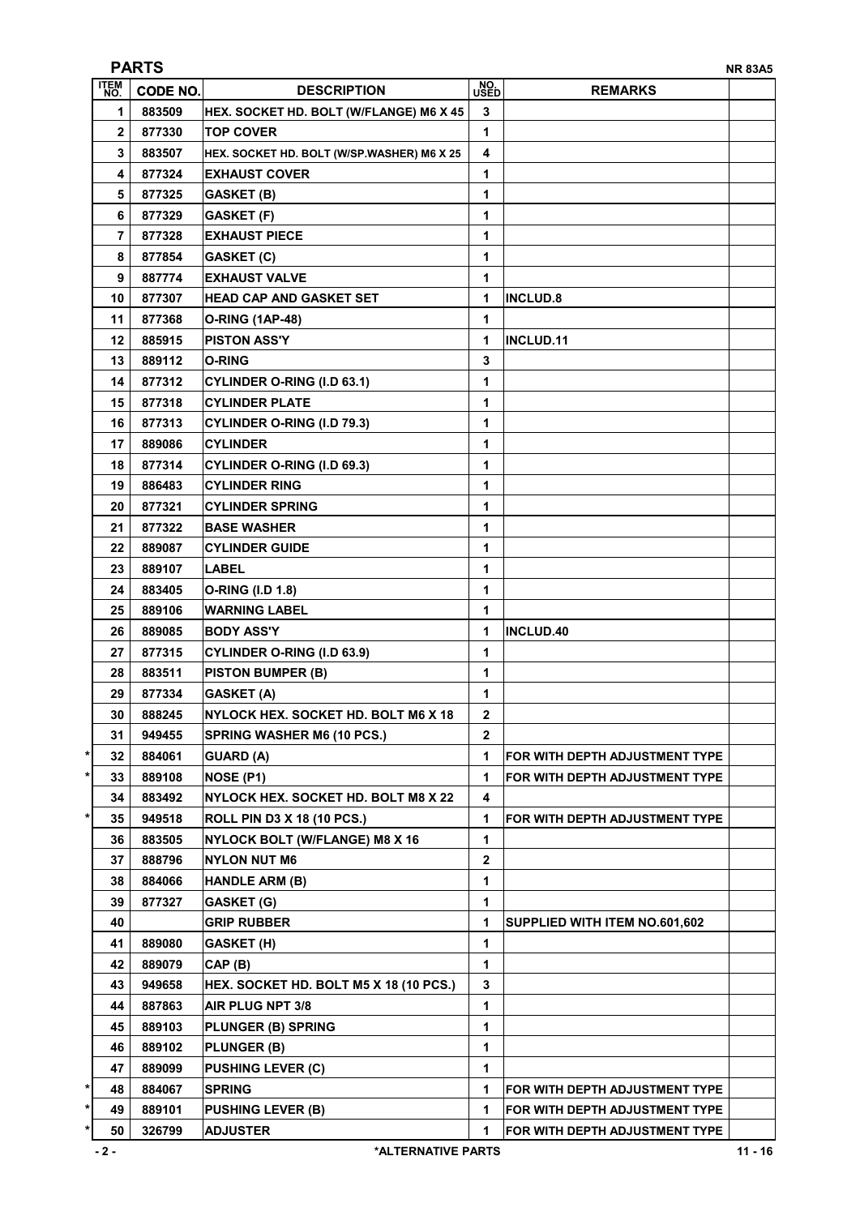| <b>PARTS</b><br><b>NR 83A5</b> |                 |                                            |                |                                |  |  |
|--------------------------------|-----------------|--------------------------------------------|----------------|--------------------------------|--|--|
| ITEM<br>No.                    | <b>CODE NO.</b> | <b>DESCRIPTION</b>                         | NO.<br>USED    | <b>REMARKS</b>                 |  |  |
| 1                              | 883509          | HEX. SOCKET HD. BOLT (W/FLANGE) M6 X 45    | 3              |                                |  |  |
| 2                              | 877330          | <b>TOP COVER</b>                           | 1              |                                |  |  |
| 3                              | 883507          | HEX. SOCKET HD. BOLT (W/SP.WASHER) M6 X 25 | 4              |                                |  |  |
| 4                              | 877324          | <b>EXHAUST COVER</b>                       | 1              |                                |  |  |
| 5                              | 877325          | <b>GASKET (B)</b>                          | 1              |                                |  |  |
| 6                              | 877329          | <b>GASKET (F)</b>                          | 1              |                                |  |  |
| 7                              | 877328          | <b>EXHAUST PIECE</b>                       | 1              |                                |  |  |
| 8                              | 877854          | <b>GASKET (C)</b>                          | 1              |                                |  |  |
| 9                              | 887774          | <b>EXHAUST VALVE</b>                       | 1              |                                |  |  |
| 10                             | 877307          | <b>HEAD CAP AND GASKET SET</b>             | 1              | <b>INCLUD.8</b>                |  |  |
| 11                             | 877368          | <b>O-RING (1AP-48)</b>                     | 1              |                                |  |  |
| 12                             | 885915          | <b>PISTON ASS'Y</b>                        | 1              | INCLUD.11                      |  |  |
| 13                             | 889112          | <b>O-RING</b>                              | 3              |                                |  |  |
| 14                             | 877312          | <b>CYLINDER O-RING (I.D 63.1)</b>          | 1              |                                |  |  |
| 15                             | 877318          | <b>CYLINDER PLATE</b>                      | 1              |                                |  |  |
| 16                             | 877313          | <b>CYLINDER O-RING (I.D 79.3)</b>          | 1              |                                |  |  |
| 17                             | 889086          | <b>CYLINDER</b>                            | 1              |                                |  |  |
| 18                             | 877314          | CYLINDER O-RING (I.D 69.3)                 | 1              |                                |  |  |
| 19                             | 886483          | <b>CYLINDER RING</b>                       | 1              |                                |  |  |
| 20                             | 877321          | <b>CYLINDER SPRING</b>                     | 1              |                                |  |  |
| 21                             | 877322          | <b>BASE WASHER</b>                         | 1              |                                |  |  |
| 22                             | 889087          | <b>CYLINDER GUIDE</b>                      | 1              |                                |  |  |
| 23                             | 889107          | <b>LABEL</b>                               | 1              |                                |  |  |
| 24                             | 883405          | O-RING (I.D 1.8)                           | 1              |                                |  |  |
| 25                             | 889106          | <b>WARNING LABEL</b>                       | 1              |                                |  |  |
| 26                             | 889085          | <b>BODY ASS'Y</b>                          | 1              | <b>INCLUD.40</b>               |  |  |
| 27                             | 877315          | <b>CYLINDER O-RING (I.D 63.9)</b>          | 1              |                                |  |  |
| 28                             | 883511          | <b>PISTON BUMPER (B)</b>                   | 1              |                                |  |  |
| 29                             | 877334          | <b>GASKET (A)</b>                          | 1              |                                |  |  |
| 30                             | 888245          | NYLOCK HEX. SOCKET HD. BOLT M6 X 18        | 2              |                                |  |  |
| 31                             | 949455          | <b>SPRING WASHER M6 (10 PCS.)</b>          | $\overline{2}$ |                                |  |  |
| *<br>32                        | 884061          | <b>GUARD (A)</b>                           | 1              | FOR WITH DEPTH ADJUSTMENT TYPE |  |  |
| *<br>33                        | 889108          | NOSE (P1)                                  | 1              | FOR WITH DEPTH ADJUSTMENT TYPE |  |  |
| 34                             | 883492          | NYLOCK HEX. SOCKET HD. BOLT M8 X 22        | 4              |                                |  |  |
| *<br>35                        | 949518          | <b>ROLL PIN D3 X 18 (10 PCS.)</b>          | 1              | FOR WITH DEPTH ADJUSTMENT TYPE |  |  |
| 36                             | 883505          | NYLOCK BOLT (W/FLANGE) M8 X 16             | 1              |                                |  |  |
| 37                             | 888796          | <b>NYLON NUT M6</b>                        | 2              |                                |  |  |
| 38                             | 884066          | <b>HANDLE ARM (B)</b>                      | 1              |                                |  |  |
| 39                             | 877327          | <b>GASKET (G)</b>                          | 1              |                                |  |  |
| 40                             |                 | <b>GRIP RUBBER</b>                         | 1              | SUPPLIED WITH ITEM NO.601,602  |  |  |
| 41                             | 889080          | <b>GASKET (H)</b>                          | 1              |                                |  |  |
| 42                             | 889079          | CAP (B)                                    | 1              |                                |  |  |
| 43                             | 949658          | HEX. SOCKET HD. BOLT M5 X 18 (10 PCS.)     | 3              |                                |  |  |
| 44                             | 887863          | AIR PLUG NPT 3/8                           | 1              |                                |  |  |
| 45                             | 889103          | <b>PLUNGER (B) SPRING</b>                  | 1              |                                |  |  |
| 46                             | 889102          | PLUNGER (B)                                | 1              |                                |  |  |
| 47                             | 889099          | <b>PUSHING LEVER (C)</b>                   | 1              |                                |  |  |
| *<br>48                        | 884067          | <b>SPRING</b>                              | 1              | FOR WITH DEPTH ADJUSTMENT TYPE |  |  |
| 49                             | 889101          | <b>PUSHING LEVER (B)</b>                   | 1              | FOR WITH DEPTH ADJUSTMENT TYPE |  |  |
| 50                             | 326799          | <b>ADJUSTER</b>                            | 1              | FOR WITH DEPTH ADJUSTMENT TYPE |  |  |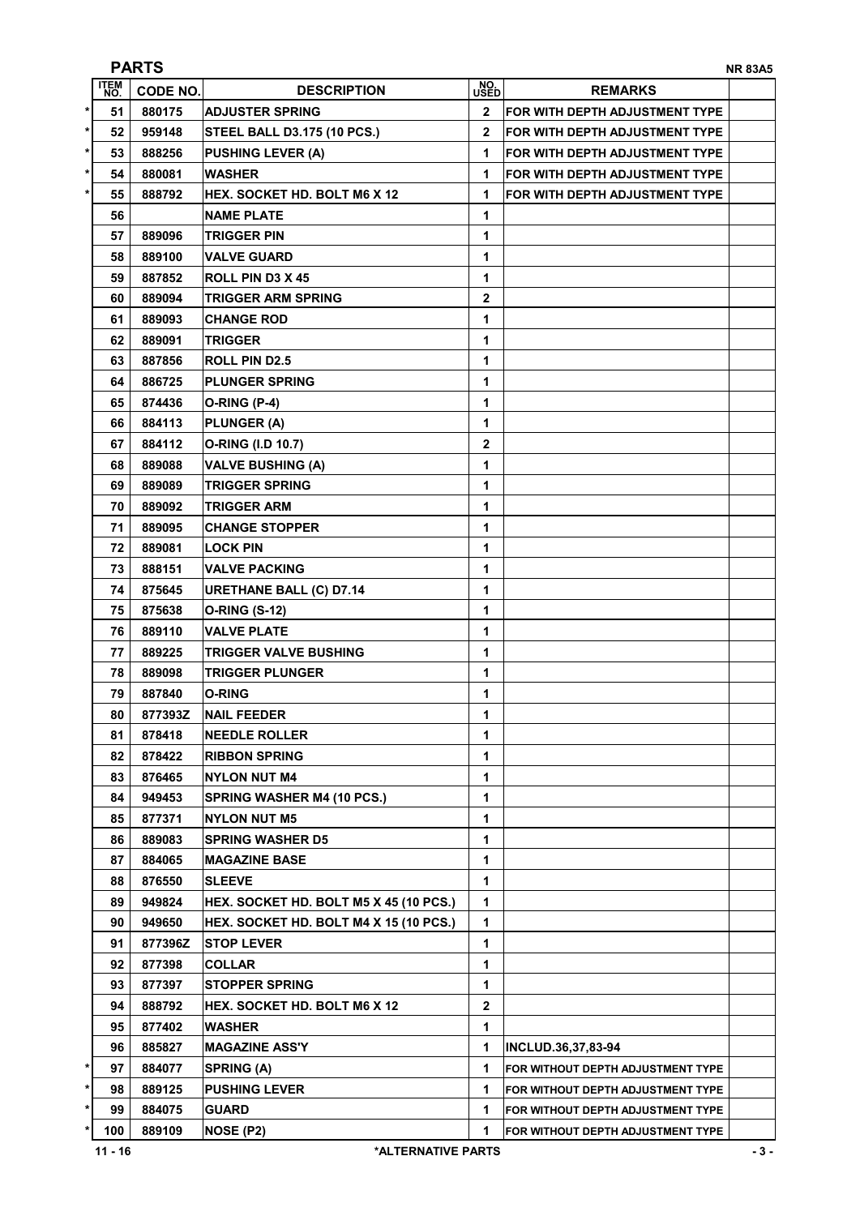| <b>PARTS</b><br><b>NR 83A5</b> |                             |                                        |              |                                   |  |
|--------------------------------|-----------------------------|----------------------------------------|--------------|-----------------------------------|--|
| <b>ITEM</b><br>NO.             | <b>CODE NO.</b>             | <b>DESCRIPTION</b>                     | NO.<br>USED  | <b>REMARKS</b>                    |  |
| $\star$<br>51                  | 880175                      | <b>ADJUSTER SPRING</b>                 | $\mathbf{2}$ | FOR WITH DEPTH ADJUSTMENT TYPE    |  |
| $\star$<br>52                  | 959148                      | <b>STEEL BALL D3.175 (10 PCS.)</b>     | 2            | FOR WITH DEPTH ADJUSTMENT TYPE    |  |
| $\star$<br>53                  | 888256                      | <b>PUSHING LEVER (A)</b>               | 1            | FOR WITH DEPTH ADJUSTMENT TYPE    |  |
| $\star$<br>54                  | 880081                      | <b>WASHER</b>                          | 1            | FOR WITH DEPTH ADJUSTMENT TYPE    |  |
| $\star$<br>55                  | 888792                      | <b>HEX. SOCKET HD. BOLT M6 X 12</b>    | 1            | FOR WITH DEPTH ADJUSTMENT TYPE    |  |
| 56                             |                             | <b>NAME PLATE</b>                      | 1            |                                   |  |
| 57                             | 889096                      | TRIGGER PIN                            | 1            |                                   |  |
| 58                             | 889100                      | <b>VALVE GUARD</b>                     | 1            |                                   |  |
| 59                             | 887852                      | ROLL PIN D3 X 45                       | 1            |                                   |  |
| 60                             | 889094                      | <b>TRIGGER ARM SPRING</b>              | 2            |                                   |  |
| 61                             | 889093                      | <b>CHANGE ROD</b>                      | 1            |                                   |  |
| 62                             | 889091                      | TRIGGER                                | 1            |                                   |  |
| 63                             | 887856                      | <b>ROLL PIN D2.5</b>                   | 1            |                                   |  |
| 64                             | 886725                      | <b>PLUNGER SPRING</b>                  | 1            |                                   |  |
| 65                             | 874436                      | O-RING (P-4)                           | 1            |                                   |  |
| 66                             | 884113                      | PLUNGER (A)                            | 1            |                                   |  |
| 67                             | 884112                      | O-RING (I.D 10.7)                      | 2            |                                   |  |
| 68                             | 889088                      | <b>VALVE BUSHING (A)</b>               | 1            |                                   |  |
| 69                             | 889089                      | <b>TRIGGER SPRING</b>                  | 1            |                                   |  |
| 70                             | 889092                      | <b>TRIGGER ARM</b>                     | 1            |                                   |  |
| 71                             | 889095                      | <b>CHANGE STOPPER</b>                  | 1            |                                   |  |
| 72                             | 889081                      | <b>LOCK PIN</b>                        | 1            |                                   |  |
| 73                             | 888151                      | <b>VALVE PACKING</b>                   | 1            |                                   |  |
| 74                             | 875645                      | <b>URETHANE BALL (C) D7.14</b>         | 1            |                                   |  |
| 75                             | 875638                      | <b>O-RING (S-12)</b>                   | 1            |                                   |  |
| 76                             | 889110                      | <b>VALVE PLATE</b>                     | 1            |                                   |  |
| 77                             | 889225                      | TRIGGER VALVE BUSHING                  | 1            |                                   |  |
| 78                             | 889098                      | <b>TRIGGER PLUNGER</b>                 | 1            |                                   |  |
| 79                             | 887840                      | O-RING                                 | 1            |                                   |  |
| 80                             | 877393Z                     | <b>NAIL FEEDER</b>                     | 1            |                                   |  |
| 81                             | 878418                      | <b>NEEDLE ROLLER</b>                   | 1            |                                   |  |
| 82                             | 878422                      | <b>RIBBON SPRING</b>                   | 1            |                                   |  |
| 83                             | 876465                      | <b>NYLON NUT M4</b>                    | 1            |                                   |  |
| 84                             | 949453                      | <b>SPRING WASHER M4 (10 PCS.)</b>      | 1            |                                   |  |
| 85                             | 877371                      | <b>NYLON NUT M5</b>                    | 1            |                                   |  |
| 86                             | 889083                      | <b>SPRING WASHER D5</b>                | 1            |                                   |  |
| 87                             | 884065                      | <b>MAGAZINE BASE</b>                   | 1            |                                   |  |
| 88                             | 876550                      | <b>SLEEVE</b>                          | 1            |                                   |  |
| 89                             | 949824                      | HEX. SOCKET HD. BOLT M5 X 45 (10 PCS.) | 1            |                                   |  |
| 90                             | 949650                      | HEX. SOCKET HD. BOLT M4 X 15 (10 PCS.) | 1            |                                   |  |
| 91                             | 877396Z                     | <b>STOP LEVER</b>                      | 1            |                                   |  |
| 92                             | 877398                      | COLLAR                                 | 1            |                                   |  |
| 93                             | 877397                      | <b>STOPPER SPRING</b>                  | 1            |                                   |  |
| 94                             | 888792                      | <b>HEX. SOCKET HD. BOLT M6 X 12</b>    | $\mathbf 2$  |                                   |  |
| 95                             | 877402                      | WASHER                                 | 1            |                                   |  |
| 96                             | 885827                      | <b>MAGAZINE ASS'Y</b>                  | 1            | INCLUD.36,37,83-94                |  |
| $\ast$<br>97                   | 884077                      | <b>SPRING (A)</b>                      | 1            | FOR WITHOUT DEPTH ADJUSTMENT TYPE |  |
| $\star$<br>98                  | 889125                      | <b>PUSHING LEVER</b>                   | 1            | FOR WITHOUT DEPTH ADJUSTMENT TYPE |  |
| $\star$<br>99                  | 884075                      | <b>GUARD</b>                           | 1            | FOR WITHOUT DEPTH ADJUSTMENT TYPE |  |
| $\star$<br>100                 | 889109                      | NOSE (P2)                              | 1            | FOR WITHOUT DEPTH ADJUSTMENT TYPE |  |
| $11 - 16$                      | $-3-$<br>*ALTERNATIVE PARTS |                                        |              |                                   |  |